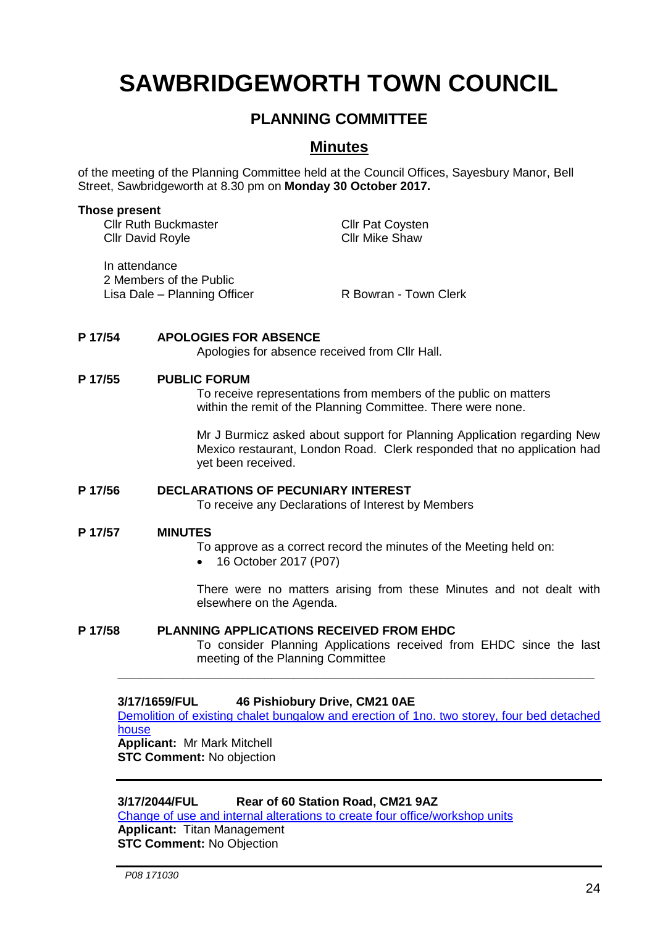# **SAWBRIDGEWORTH TOWN COUNCIL**

## **PLANNING COMMITTEE**

### **Minutes**

of the meeting of the Planning Committee held at the Council Offices, Sayesbury Manor, Bell Street, Sawbridgeworth at 8.30 pm on **Monday 30 October 2017.**

#### **Those present**

Cllr Ruth Buckmaster<br>Cllr David Royle<br>Cllr David Royle Cllr David Royle

In attendance 2 Members of the Public Lisa Dale – Planning Officer R Bowran - Town Clerk

#### **P 17/54 APOLOGIES FOR ABSENCE**

Apologies for absence received from Cllr Hall.

#### **P 17/55 PUBLIC FORUM**

To receive representations from members of the public on matters within the remit of the Planning Committee. There were none.

Mr J Burmicz asked about support for Planning Application regarding New Mexico restaurant, London Road. Clerk responded that no application had yet been received.

# **P 17/56 DECLARATIONS OF PECUNIARY INTEREST**

To receive any Declarations of Interest by Members

#### **P 17/57 MINUTES**

To approve as a correct record the minutes of the Meeting held on:

• 16 October 2017 (P07)

There were no matters arising from these Minutes and not dealt with elsewhere on the Agenda.

#### **P 17/58 PLANNING APPLICATIONS RECEIVED FROM EHDC**

To consider Planning Applications received from EHDC since the last meeting of the Planning Committee

#### **3/17/1659/FUL 46 Pishiobury Drive, CM21 0AE**

[Demolition of existing chalet bungalow and erection of 1no. two storey, four bed detached](https://publicaccess.eastherts.gov.uk/online-applications/applicationDetails.do?keyVal=OT12VUGL01D00&activeTab=summary)  [house](https://publicaccess.eastherts.gov.uk/online-applications/applicationDetails.do?keyVal=OT12VUGL01D00&activeTab=summary) **Applicant:** Mr Mark Mitchell

**\_\_\_\_\_\_\_\_\_\_\_\_\_\_\_\_\_\_\_\_\_\_\_\_\_\_\_\_\_\_\_\_\_\_\_\_\_\_\_\_\_\_\_\_\_\_\_\_\_\_\_\_\_\_\_\_\_\_\_\_\_\_\_\_\_**

**STC Comment:** No objection

#### **3/17/2044/FUL Rear of 60 Station Road, CM21 9AZ**

[Change of use and internal alterations to create four office/workshop units](https://publicaccess.eastherts.gov.uk/online-applications/applicationDetails.do?keyVal=OVR36PGL00X00&activeTab=summary) **Applicant:** Titan Management **STC Comment:** No Objection